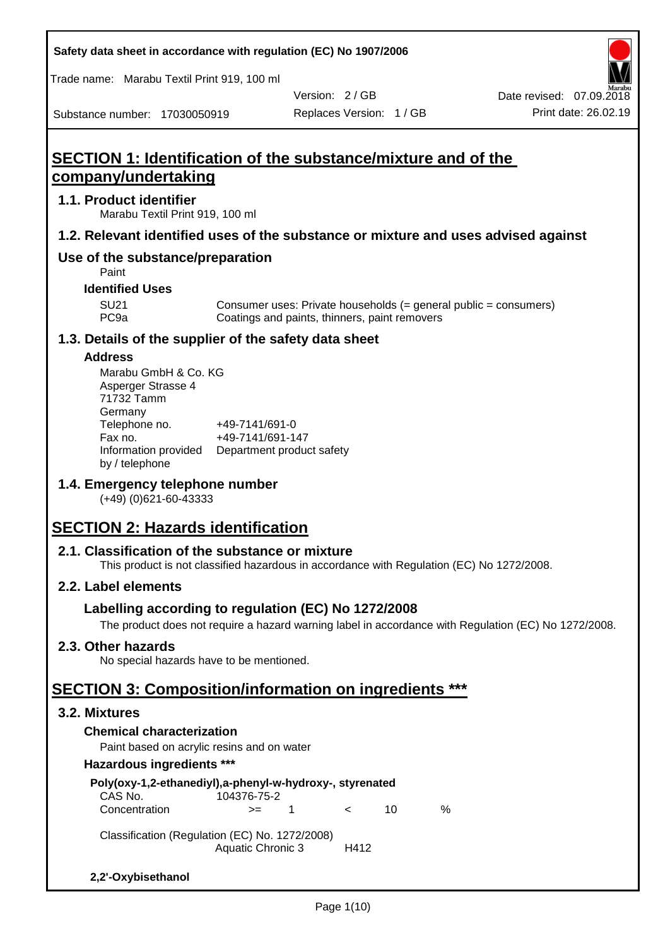**Safety data sheet in accordance with regulation (EC) No 1907/2006**

Trade name: Marabu Textil Print 919, 100 ml

Substance number: 17030050919

Version: 2 / GB

# **SECTION 1: Identification of the substance/mixture and of the company/undertaking**

## **1.1. Product identifier**

Marabu Textil Print 919, 100 ml

# **1.2. Relevant identified uses of the substance or mixture and uses advised against**

# **Use of the substance/preparation**

Paint

#### **Identified Uses**

SU21 Consumer uses: Private households (= general public = consumers)<br>PC9a Coatings and paints, thinners, paint removers Coatings and paints, thinners, paint removers

# **1.3. Details of the supplier of the safety data sheet**

#### **Address**

| Marabu GmbH & Co. KG |                           |
|----------------------|---------------------------|
| Asperger Strasse 4   |                           |
| 71732 Tamm           |                           |
| Germany              |                           |
| Telephone no.        | +49-7141/691-0            |
| Fax no.              | +49-7141/691-147          |
| Information provided | Department product safety |
| by / telephone       |                           |

# **1.4. Emergency telephone number**

(+49) (0)621-60-43333

# **SECTION 2: Hazards identification**

# **2.1. Classification of the substance or mixture**

This product is not classified hazardous in accordance with Regulation (EC) No 1272/2008.

# **2.2. Label elements**

# **Labelling according to regulation (EC) No 1272/2008**

The product does not require a hazard warning label in accordance with Regulation (EC) No 1272/2008.

# **2.3. Other hazards**

No special hazards have to be mentioned.

# **SECTION 3: Composition/information on ingredients \*\*\***

#### **3.2. Mixtures**

# **Chemical characterization**

Paint based on acrylic resins and on water

#### **Hazardous ingredients \*\*\***

| Poly(oxy-1,2-ethanediyl),a-phenyl-w-hydroxy-, styrenated<br>CAS No. | 104376-75-2              |    |            |    |   |
|---------------------------------------------------------------------|--------------------------|----|------------|----|---|
| Concentration                                                       | $>=$                     | -1 | $\epsilon$ | 10 | ℅ |
| Classification (Regulation (EC) No. 1272/2008)                      | <b>Aquatic Chronic 3</b> |    | H412       |    |   |
| 2,2'-Oxybisethanol                                                  |                          |    |            |    |   |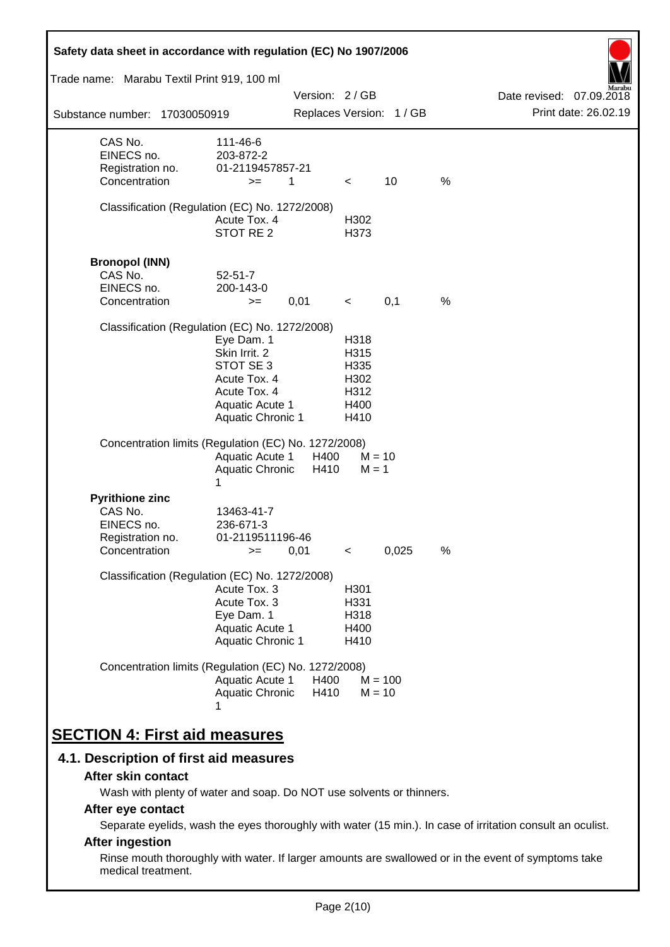| Safety data sheet in accordance with regulation (EC) No 1907/2006                    |                                                                                                                         |               |                                                      |                          |      |                          |
|--------------------------------------------------------------------------------------|-------------------------------------------------------------------------------------------------------------------------|---------------|------------------------------------------------------|--------------------------|------|--------------------------|
| Trade name: Marabu Textil Print 919, 100 ml                                          |                                                                                                                         |               |                                                      |                          |      |                          |
|                                                                                      |                                                                                                                         | Version: 2/GB |                                                      |                          |      | Date revised: 07.09.2018 |
| Substance number: 17030050919                                                        |                                                                                                                         |               |                                                      | Replaces Version: 1 / GB |      | Print date: 26.02.19     |
| CAS No.<br>EINECS no.<br>Registration no.<br>Concentration                           | 111-46-6<br>203-872-2<br>01-2119457857-21<br>$>=$                                                                       | 1             | $\lt$                                                | 10                       | %    |                          |
| Classification (Regulation (EC) No. 1272/2008)                                       | Acute Tox. 4<br>STOT RE 2                                                                                               |               | H302<br>H373                                         |                          |      |                          |
| <b>Bronopol (INN)</b><br>CAS No.<br>EINECS no.<br>Concentration                      | $52 - 51 - 7$<br>200-143-0<br>$>=$                                                                                      | 0,01          | $\prec$                                              | 0,1                      | $\%$ |                          |
| Classification (Regulation (EC) No. 1272/2008)                                       | Eye Dam. 1<br>Skin Irrit. 2<br>STOT SE 3<br>Acute Tox. 4<br>Acute Tox. 4<br>Aquatic Acute 1<br><b>Aquatic Chronic 1</b> |               | H318<br>H315<br>H335<br>H302<br>H312<br>H400<br>H410 |                          |      |                          |
| Concentration limits (Regulation (EC) No. 1272/2008)                                 | <b>Aquatic Acute 1</b><br>Aquatic Chronic<br>1                                                                          | H400<br>H410  | $M = 1$                                              | $M = 10$                 |      |                          |
| <b>Pyrithione zinc</b><br>CAS No.<br>EINECS no.<br>Registration no.<br>Concentration | 13463-41-7<br>236-671-3<br>01-2119511196-46<br>$>=$                                                                     | 0,01          | $\,<$                                                | 0,025                    | $\%$ |                          |
| Classification (Regulation (EC) No. 1272/2008)                                       | Acute Tox. 3<br>Acute Tox. 3<br>Eye Dam. 1<br>Aquatic Acute 1<br>Aquatic Chronic 1                                      |               | H301<br>H331<br>H318<br>H400<br>H410                 |                          |      |                          |
| Concentration limits (Regulation (EC) No. 1272/2008)                                 | Aquatic Acute 1<br>Aquatic Chronic                                                                                      | H400<br>H410  |                                                      | $M = 100$<br>$M = 10$    |      |                          |
| <b>SECTION 4: First aid measures</b>                                                 |                                                                                                                         |               |                                                      |                          |      |                          |

# **4.1. Description of first aid measures**

#### **After skin contact**

Wash with plenty of water and soap. Do NOT use solvents or thinners.

# **After eye contact**

Separate eyelids, wash the eyes thoroughly with water (15 min.). In case of irritation consult an oculist.

# **After ingestion**

Rinse mouth thoroughly with water. If larger amounts are swallowed or in the event of symptoms take medical treatment.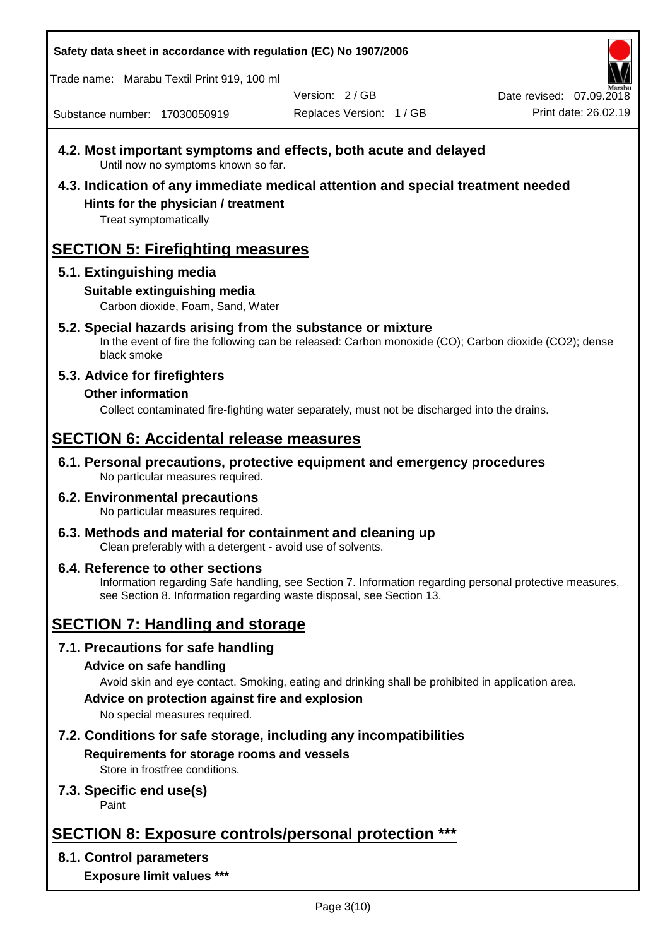**Safety data sheet in accordance with regulation (EC) No 1907/2006**

Trade name: Marabu Textil Print 919, 100 ml

Version: 2 / GB

Replaces Version: 1 / GB Print date: 26.02.19 Date revised: 07.09.2018

Substance number: 17030050919

- **4.2. Most important symptoms and effects, both acute and delayed** Until now no symptoms known so far.
- **4.3. Indication of any immediate medical attention and special treatment needed Hints for the physician / treatment**

Treat symptomatically

# **SECTION 5: Firefighting measures**

# **5.1. Extinguishing media**

# **Suitable extinguishing media**

Carbon dioxide, Foam, Sand, Water

# **5.2. Special hazards arising from the substance or mixture**

In the event of fire the following can be released: Carbon monoxide (CO); Carbon dioxide (CO2); dense black smoke

# **5.3. Advice for firefighters**

# **Other information**

Collect contaminated fire-fighting water separately, must not be discharged into the drains.

# **SECTION 6: Accidental release measures**

**6.1. Personal precautions, protective equipment and emergency procedures** No particular measures required.

#### **6.2. Environmental precautions** No particular measures required.

**6.3. Methods and material for containment and cleaning up** Clean preferably with a detergent - avoid use of solvents.

#### **6.4. Reference to other sections** Information regarding Safe handling, see Section 7. Information regarding personal protective measures, see Section 8. Information regarding waste disposal, see Section 13.

# **SECTION 7: Handling and storage**

# **7.1. Precautions for safe handling**

# **Advice on safe handling**

Avoid skin and eye contact. Smoking, eating and drinking shall be prohibited in application area.

**Advice on protection against fire and explosion**

No special measures required.

# **7.2. Conditions for safe storage, including any incompatibilities Requirements for storage rooms and vessels**

Store in frostfree conditions.

# **7.3. Specific end use(s)**

Paint

# **SECTION 8: Exposure controls/personal protection \*\*\***

# **8.1. Control parameters**

**Exposure limit values \*\*\***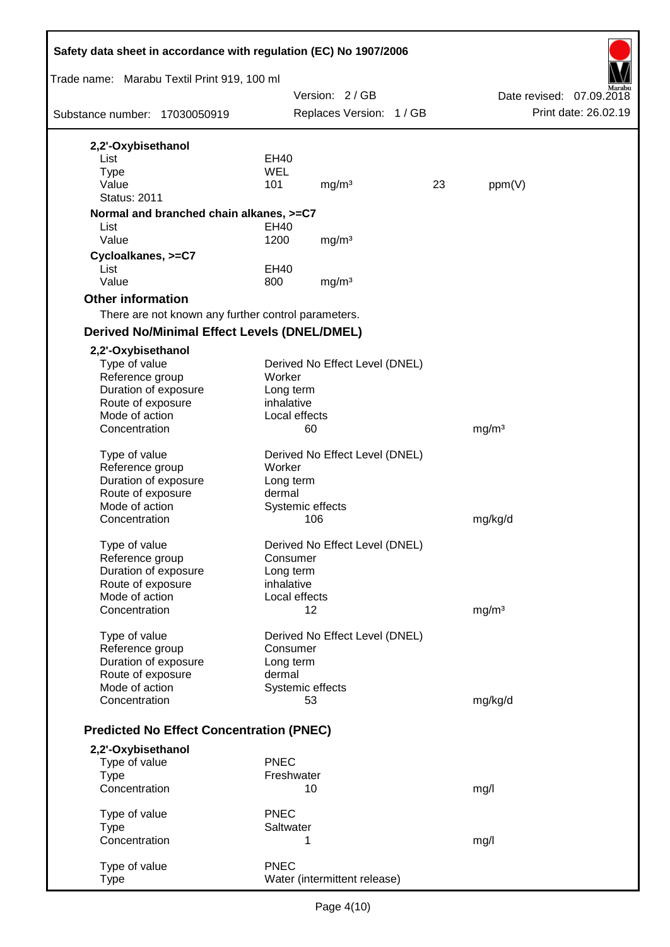|                                     |                                                     |                         | Safety data sheet in accordance with regulation (EC) No 1907/2006 |    |                   |                          |
|-------------------------------------|-----------------------------------------------------|-------------------------|-------------------------------------------------------------------|----|-------------------|--------------------------|
|                                     | Trade name: Marabu Textil Print 919, 100 ml         |                         |                                                                   |    |                   |                          |
|                                     |                                                     |                         | Version: 2/GB                                                     |    |                   | Date revised: 07.09.2018 |
|                                     | Substance number: 17030050919                       |                         | Replaces Version: 1 / GB                                          |    |                   | Print date: 26.02.19     |
| 2,2'-Oxybisethanol                  |                                                     |                         |                                                                   |    |                   |                          |
| List                                |                                                     | <b>EH40</b>             |                                                                   |    |                   |                          |
| <b>Type</b>                         |                                                     | <b>WEL</b>              |                                                                   |    |                   |                          |
| Value                               |                                                     | 101                     | mg/m <sup>3</sup>                                                 | 23 | ppm(V)            |                          |
| <b>Status: 2011</b>                 |                                                     |                         |                                                                   |    |                   |                          |
|                                     | Normal and branched chain alkanes, >=C7             |                         |                                                                   |    |                   |                          |
| List                                |                                                     | EH40                    |                                                                   |    |                   |                          |
| Value                               |                                                     | 1200                    | mg/m <sup>3</sup>                                                 |    |                   |                          |
| Cycloalkanes, >=C7                  |                                                     |                         |                                                                   |    |                   |                          |
| List                                |                                                     | <b>EH40</b>             |                                                                   |    |                   |                          |
| Value                               |                                                     | 800                     | mg/m <sup>3</sup>                                                 |    |                   |                          |
| <b>Other information</b>            |                                                     |                         |                                                                   |    |                   |                          |
|                                     | There are not known any further control parameters. |                         |                                                                   |    |                   |                          |
|                                     | <b>Derived No/Minimal Effect Levels (DNEL/DMEL)</b> |                         |                                                                   |    |                   |                          |
| 2,2'-Oxybisethanol                  |                                                     |                         |                                                                   |    |                   |                          |
| Type of value                       |                                                     |                         | Derived No Effect Level (DNEL)                                    |    |                   |                          |
| Reference group                     |                                                     | Worker                  |                                                                   |    |                   |                          |
| Duration of exposure                |                                                     | Long term<br>inhalative |                                                                   |    |                   |                          |
| Route of exposure<br>Mode of action |                                                     |                         | Local effects                                                     |    |                   |                          |
| Concentration                       |                                                     |                         | 60                                                                |    | mg/m <sup>3</sup> |                          |
|                                     |                                                     |                         |                                                                   |    |                   |                          |
| Type of value                       |                                                     |                         | Derived No Effect Level (DNEL)                                    |    |                   |                          |
| Reference group                     |                                                     | Worker                  |                                                                   |    |                   |                          |
| Duration of exposure                |                                                     | Long term               |                                                                   |    |                   |                          |
| Route of exposure                   |                                                     | dermal                  |                                                                   |    |                   |                          |
| Mode of action                      |                                                     |                         | Systemic effects                                                  |    |                   |                          |
| Concentration                       |                                                     |                         | 106                                                               |    | mg/kg/d           |                          |
| Type of value                       |                                                     |                         | Derived No Effect Level (DNEL)                                    |    |                   |                          |
| Reference group                     |                                                     | Consumer                |                                                                   |    |                   |                          |
| Duration of exposure                |                                                     | Long term               |                                                                   |    |                   |                          |
| Route of exposure                   |                                                     | inhalative              |                                                                   |    |                   |                          |
| Mode of action                      |                                                     |                         | Local effects                                                     |    |                   |                          |
| Concentration                       |                                                     |                         | 12                                                                |    | mg/m <sup>3</sup> |                          |
| Type of value                       |                                                     |                         | Derived No Effect Level (DNEL)                                    |    |                   |                          |
| Reference group                     |                                                     | Consumer                |                                                                   |    |                   |                          |
| Duration of exposure                |                                                     | Long term               |                                                                   |    |                   |                          |
| Route of exposure                   |                                                     | dermal                  |                                                                   |    |                   |                          |
| Mode of action                      |                                                     |                         | Systemic effects                                                  |    |                   |                          |
| Concentration                       |                                                     |                         | 53                                                                |    | mg/kg/d           |                          |
|                                     | <b>Predicted No Effect Concentration (PNEC)</b>     |                         |                                                                   |    |                   |                          |
| 2,2'-Oxybisethanol                  |                                                     |                         |                                                                   |    |                   |                          |
| Type of value                       |                                                     | <b>PNEC</b>             |                                                                   |    |                   |                          |
| <b>Type</b>                         |                                                     | Freshwater              |                                                                   |    |                   |                          |
| Concentration                       |                                                     |                         | 10                                                                |    | mg/l              |                          |
| Type of value                       |                                                     | <b>PNEC</b>             |                                                                   |    |                   |                          |
| <b>Type</b>                         |                                                     | Saltwater               |                                                                   |    |                   |                          |
| Concentration                       |                                                     |                         | 1                                                                 |    | mg/l              |                          |
|                                     |                                                     |                         |                                                                   |    |                   |                          |
| Type of value                       |                                                     | <b>PNEC</b>             |                                                                   |    |                   |                          |
| <b>Type</b>                         |                                                     |                         | Water (intermittent release)                                      |    |                   |                          |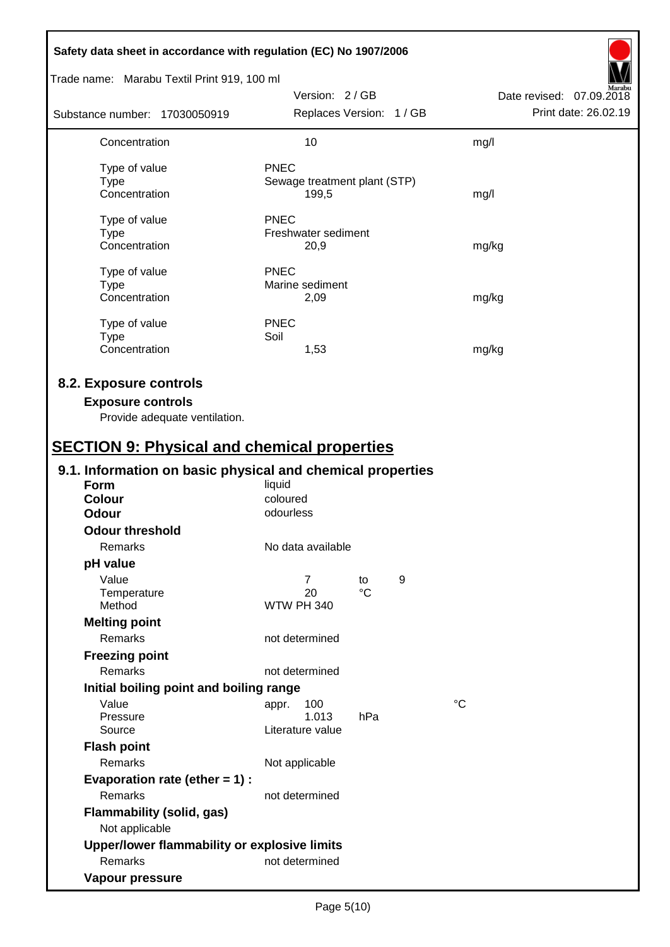| Safety data sheet in accordance with regulation (EC) No 1907/2006                                                                         |                                                      |                       |   |                          |
|-------------------------------------------------------------------------------------------------------------------------------------------|------------------------------------------------------|-----------------------|---|--------------------------|
| Trade name: Marabu Textil Print 919, 100 ml                                                                                               |                                                      |                       |   |                          |
|                                                                                                                                           | Version: 2/GB                                        |                       |   | Date revised: 07.09.2018 |
| Substance number: 17030050919                                                                                                             | Replaces Version: 1 / GB                             |                       |   | Print date: 26.02.19     |
| Concentration                                                                                                                             | 10                                                   |                       |   | mg/l                     |
| Type of value<br><b>Type</b><br>Concentration                                                                                             | <b>PNEC</b><br>Sewage treatment plant (STP)<br>199,5 |                       |   | mg/l                     |
| Type of value<br><b>Type</b><br>Concentration                                                                                             | <b>PNEC</b><br>Freshwater sediment<br>20,9           |                       |   | mg/kg                    |
| Type of value<br><b>Type</b><br>Concentration                                                                                             | <b>PNEC</b><br>Marine sediment<br>2,09               |                       |   | mg/kg                    |
| Type of value<br><b>Type</b><br>Concentration                                                                                             | <b>PNEC</b><br>Soil<br>1,53                          |                       |   | mg/kg                    |
| 8.2. Exposure controls<br><b>Exposure controls</b><br>Provide adequate ventilation.<br><b>SECTION 9: Physical and chemical properties</b> |                                                      |                       |   |                          |
| 9.1. Information on basic physical and chemical properties                                                                                |                                                      |                       |   |                          |
| Form<br><b>Colour</b><br><b>Odour</b>                                                                                                     | liquid<br>coloured<br>odourless                      |                       |   |                          |
| <b>Odour threshold</b><br>Remarks                                                                                                         | No data available                                    |                       |   |                          |
| pH value                                                                                                                                  |                                                      |                       |   |                          |
| Value<br>Temperature<br>Method                                                                                                            | $\overline{7}$<br>20<br><b>WTW PH 340</b>            | to<br>$\rm ^{\circ}C$ | 9 |                          |
| <b>Melting point</b><br>Remarks                                                                                                           | not determined                                       |                       |   |                          |
| <b>Freezing point</b><br>Remarks                                                                                                          | not determined                                       |                       |   |                          |
| Initial boiling point and boiling range                                                                                                   |                                                      |                       |   |                          |
| Value<br>Pressure<br>Source                                                                                                               | 100<br>appr.<br>1.013<br>Literature value            | hPa                   |   | $^{\circ}C$              |
| <b>Flash point</b>                                                                                                                        |                                                      |                       |   |                          |
| Remarks                                                                                                                                   | Not applicable                                       |                       |   |                          |
| Evaporation rate (ether $= 1$ ) :<br>Remarks                                                                                              | not determined                                       |                       |   |                          |
| <b>Flammability (solid, gas)</b><br>Not applicable                                                                                        |                                                      |                       |   |                          |
| Upper/lower flammability or explosive limits                                                                                              |                                                      |                       |   |                          |
| Remarks                                                                                                                                   | not determined                                       |                       |   |                          |
| Vapour pressure                                                                                                                           |                                                      |                       |   |                          |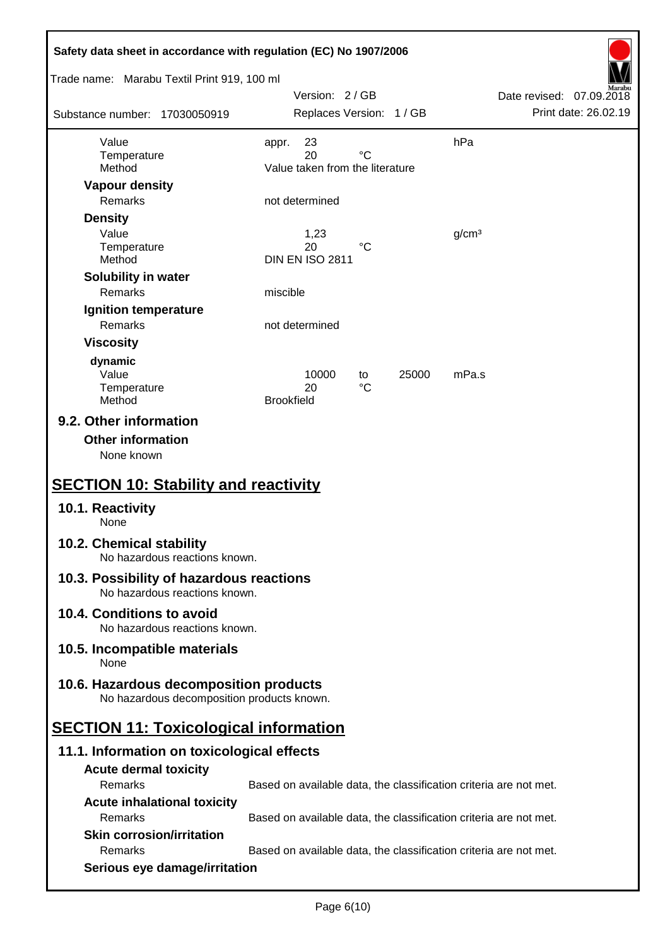| Safety data sheet in accordance with regulation (EC) No 1907/2006                                               |                                                                   |                          |
|-----------------------------------------------------------------------------------------------------------------|-------------------------------------------------------------------|--------------------------|
| Trade name: Marabu Textil Print 919, 100 ml                                                                     | Version: 2/GB                                                     | Date revised: 07.09.2018 |
| Substance number: 17030050919                                                                                   | Replaces Version: 1 / GB                                          | Print date: 26.02.19     |
| Value                                                                                                           | hPa<br>23<br>appr.                                                |                          |
| Temperature<br>Method                                                                                           | 20<br>°C<br>Value taken from the literature                       |                          |
| <b>Vapour density</b>                                                                                           |                                                                   |                          |
| Remarks                                                                                                         | not determined                                                    |                          |
| <b>Density</b>                                                                                                  |                                                                   |                          |
| Value                                                                                                           | 1,23                                                              | g/cm <sup>3</sup>        |
| Temperature<br>Method                                                                                           | 20<br>°C<br><b>DIN EN ISO 2811</b>                                |                          |
| Solubility in water                                                                                             |                                                                   |                          |
| Remarks                                                                                                         | miscible                                                          |                          |
| Ignition temperature                                                                                            |                                                                   |                          |
| <b>Remarks</b>                                                                                                  | not determined                                                    |                          |
| <b>Viscosity</b>                                                                                                |                                                                   |                          |
| dynamic                                                                                                         |                                                                   |                          |
| Value<br>Temperature                                                                                            | 10000<br>25000<br>to<br>$^{\circ}C$<br>20                         | mPa.s                    |
| Method                                                                                                          | <b>Brookfield</b>                                                 |                          |
| 9.2. Other information<br><b>Other information</b><br>None known<br><b>SECTION 10: Stability and reactivity</b> |                                                                   |                          |
| 10.1. Reactivity<br>None                                                                                        |                                                                   |                          |
| 10.2. Chemical stability<br>No hazardous reactions known.                                                       |                                                                   |                          |
| 10.3. Possibility of hazardous reactions<br>No hazardous reactions known.                                       |                                                                   |                          |
| 10.4. Conditions to avoid<br>No hazardous reactions known.                                                      |                                                                   |                          |
| 10.5. Incompatible materials<br>None                                                                            |                                                                   |                          |
| 10.6. Hazardous decomposition products<br>No hazardous decomposition products known.                            |                                                                   |                          |
| <b>SECTION 11: Toxicological information</b>                                                                    |                                                                   |                          |
| 11.1. Information on toxicological effects                                                                      |                                                                   |                          |
| <b>Acute dermal toxicity</b>                                                                                    |                                                                   |                          |
| Remarks                                                                                                         | Based on available data, the classification criteria are not met. |                          |
| <b>Acute inhalational toxicity</b>                                                                              |                                                                   |                          |
| Remarks                                                                                                         | Based on available data, the classification criteria are not met. |                          |
| <b>Skin corrosion/irritation</b>                                                                                |                                                                   |                          |
| Remarks                                                                                                         | Based on available data, the classification criteria are not met. |                          |
| Serious eye damage/irritation                                                                                   |                                                                   |                          |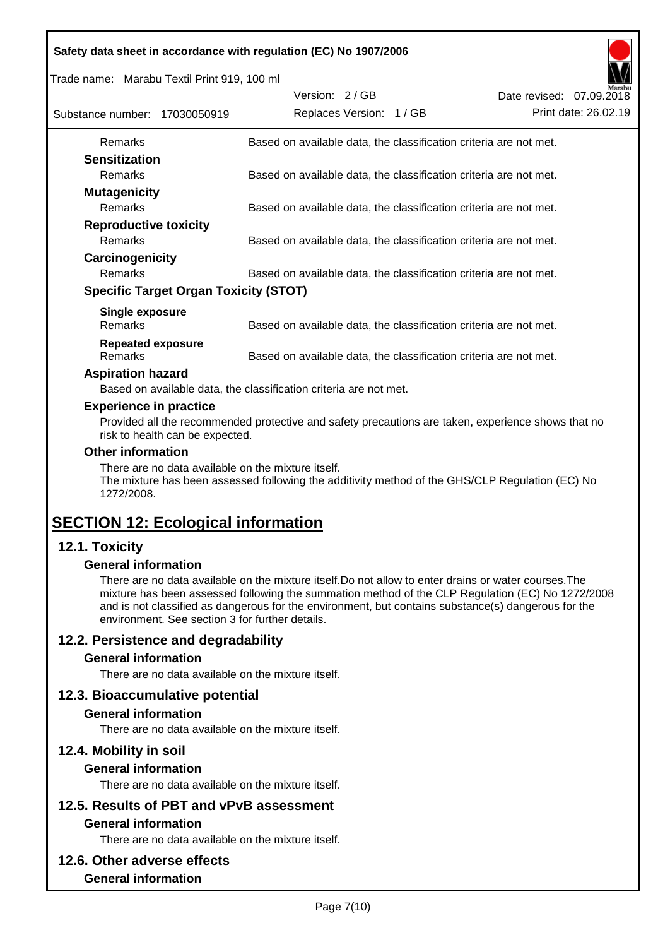|  |  | Safety data sheet in accordance with regulation (EC) No 1907/2006 |
|--|--|-------------------------------------------------------------------|
|  |  |                                                                   |

Trade name: Marabu Textil Print 919, 100 ml

| Substance number: 17030050919       | Version: 2/GB                                | Replaces Version: 1 / GB                                          | Date revised: 07.09.2018 | Marabu<br>Print date: 26.02.19 |
|-------------------------------------|----------------------------------------------|-------------------------------------------------------------------|--------------------------|--------------------------------|
| Remarks                             |                                              | Based on available data, the classification criteria are not met. |                          |                                |
| <b>Sensitization</b>                |                                              |                                                                   |                          |                                |
| <b>Remarks</b>                      |                                              | Based on available data, the classification criteria are not met. |                          |                                |
| <b>Mutagenicity</b>                 |                                              |                                                                   |                          |                                |
| <b>Remarks</b>                      |                                              | Based on available data, the classification criteria are not met. |                          |                                |
| <b>Reproductive toxicity</b>        |                                              |                                                                   |                          |                                |
| <b>Remarks</b>                      |                                              | Based on available data, the classification criteria are not met. |                          |                                |
| Carcinogenicity                     |                                              |                                                                   |                          |                                |
| <b>Remarks</b>                      |                                              | Based on available data, the classification criteria are not met. |                          |                                |
|                                     | <b>Specific Target Organ Toxicity (STOT)</b> |                                                                   |                          |                                |
| Single exposure<br><b>Remarks</b>   |                                              | Based on available data, the classification criteria are not met. |                          |                                |
| <b>Repeated exposure</b><br>Remarks |                                              | Based on available data, the classification criteria are not met. |                          |                                |

#### **Aspiration hazard**

Based on available data, the classification criteria are not met.

#### **Experience in practice**

Provided all the recommended protective and safety precautions are taken, experience shows that no risk to health can be expected.

#### **Other information**

There are no data available on the mixture itself.

The mixture has been assessed following the additivity method of the GHS/CLP Regulation (EC) No 1272/2008.

# **SECTION 12: Ecological information**

# **12.1. Toxicity**

#### **General information**

There are no data available on the mixture itself.Do not allow to enter drains or water courses.The mixture has been assessed following the summation method of the CLP Regulation (EC) No 1272/2008 and is not classified as dangerous for the environment, but contains substance(s) dangerous for the environment. See section 3 for further details.

# **12.2. Persistence and degradability**

#### **General information**

There are no data available on the mixture itself.

#### **12.3. Bioaccumulative potential**

#### **General information**

There are no data available on the mixture itself.

#### **12.4. Mobility in soil**

#### **General information**

There are no data available on the mixture itself.

# **12.5. Results of PBT and vPvB assessment**

# **General information**

There are no data available on the mixture itself.

## **12.6. Other adverse effects**

#### **General information**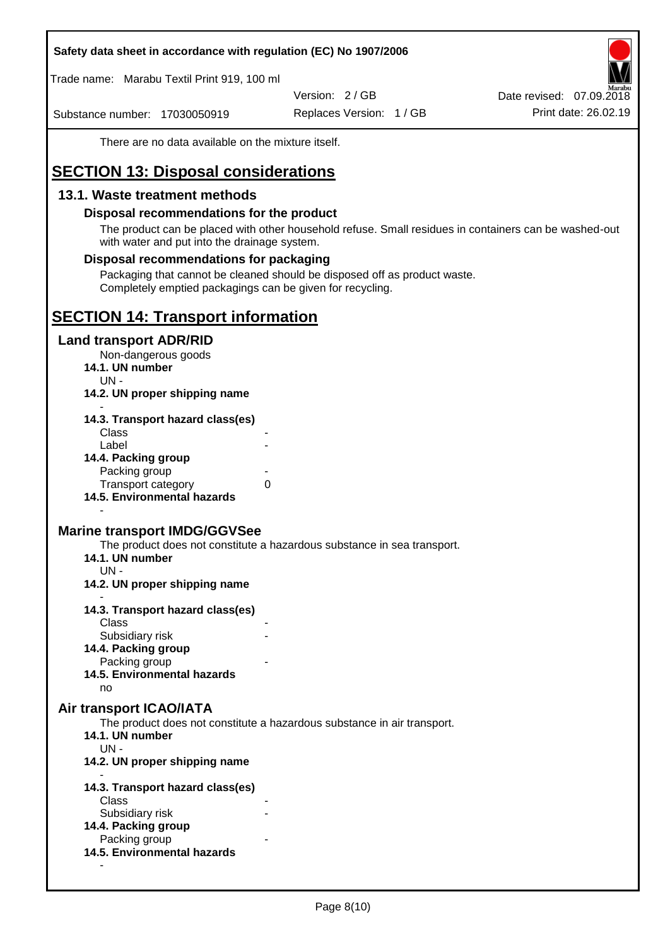#### **Safety data sheet in accordance with regulation (EC) No 1907/2006**

Trade name: Marabu Textil Print 919, 100 ml

Version: 2 / GB

Substance number: 17030050919

Replaces Version: 1 / GB Print date: 26.02.19 Date revised: 07.09.2018

There are no data available on the mixture itself.

# **SECTION 13: Disposal considerations**

## **13.1. Waste treatment methods**

#### **Disposal recommendations for the product**

The product can be placed with other household refuse. Small residues in containers can be washed-out with water and put into the drainage system.

#### **Disposal recommendations for packaging**

Packaging that cannot be cleaned should be disposed off as product waste. Completely emptied packagings can be given for recycling.

# **SECTION 14: Transport information**

#### **Land transport ADR/RID**

Non-dangerous goods

- **14.1. UN number**
	- UN -
- **14.2. UN proper shipping name**

| 14.3. Transport hazard class(es) |  |
|----------------------------------|--|
| Class                            |  |
| Label                            |  |
| 14.4. Packing group              |  |
| Packing group                    |  |
| <b>Transport category</b>        |  |
| 14.5. Environmental hazards      |  |

#### **Marine transport IMDG/GGVSee**

The product does not constitute a hazardous substance in sea transport.

- **14.1. UN number**
	- UN -

-

- **14.2. UN proper shipping name**
- **14.3. Transport hazard class(es) Class** 
	- Subsidiary risk
- **14.4. Packing group**
	- Packing group
- **14.5. Environmental hazards** no

#### **Air transport ICAO/IATA**

The product does not constitute a hazardous substance in air transport.

- **14.1. UN number**
- UN -

-

- **14.2. UN proper shipping name**
- **14.3. Transport hazard class(es)** Class Subsidiary risk **14.4. Packing group** Packing group **14.5. Environmental hazards**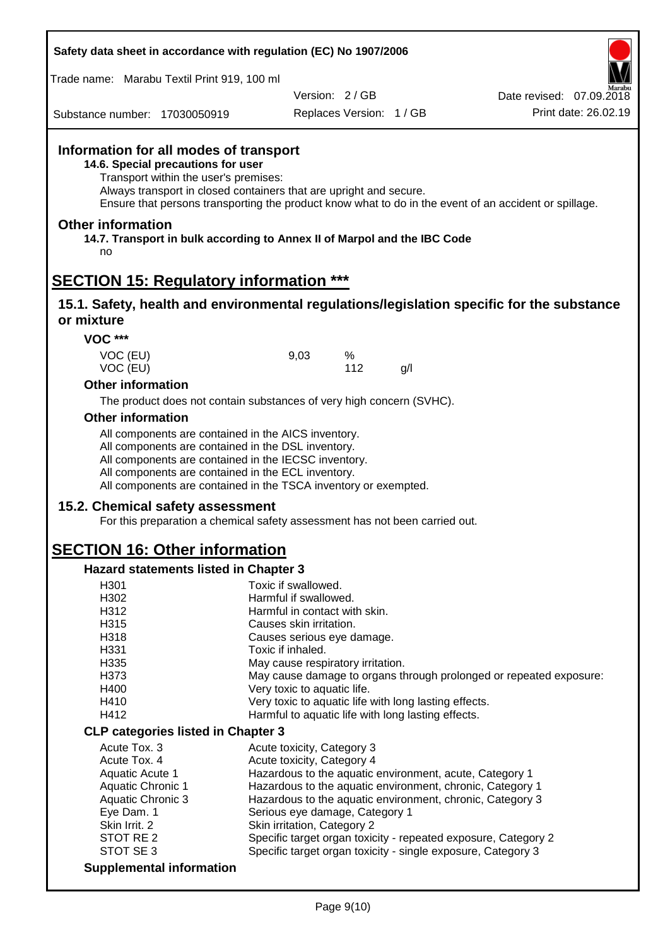| Safety data sheet in accordance with regulation (EC) No 1907/2006 |  |
|-------------------------------------------------------------------|--|
|-------------------------------------------------------------------|--|

Trade name: Marabu Textil Print 919, 100 ml

Version: 2 / GB

Replaces Version: 1 / GB Print date: 26.02.19 Date revised: 07.09.2018

Substance number: 17030050919

# **Information for all modes of transport**

**14.6. Special precautions for user**

Transport within the user's premises:

Always transport in closed containers that are upright and secure.

Ensure that persons transporting the product know what to do in the event of an accident or spillage.

#### **Other information**

**14.7. Transport in bulk according to Annex II of Marpol and the IBC Code** no

# **SECTION 15: Regulatory information \*\*\***

#### **15.1. Safety, health and environmental regulations/legislation specific for the substance or mixture**

**VOC \*\*\***

| VOC (EU) | 9,03 | $\%$ |     |
|----------|------|------|-----|
| VOC (EU) |      | 112  | g/l |

#### **Other information**

The product does not contain substances of very high concern (SVHC).

#### **Other information**

All components are contained in the AICS inventory. All components are contained in the DSL inventory. All components are contained in the IECSC inventory. All components are contained in the ECL inventory. All components are contained in the TSCA inventory or exempted.

# **15.2. Chemical safety assessment**

For this preparation a chemical safety assessment has not been carried out.

# **SECTION 16: Other information**

#### **Hazard statements listed in Chapter 3**

| H301                                      | Toxic if swallowed.                                                |
|-------------------------------------------|--------------------------------------------------------------------|
| H302                                      | Harmful if swallowed.                                              |
| H312                                      | Harmful in contact with skin.                                      |
| H315                                      | Causes skin irritation.                                            |
| H318                                      | Causes serious eye damage.                                         |
| H331                                      | Toxic if inhaled.                                                  |
| H <sub>335</sub>                          | May cause respiratory irritation.                                  |
| H373                                      | May cause damage to organs through prolonged or repeated exposure: |
| H400                                      | Very toxic to aquatic life.                                        |
| H410                                      | Very toxic to aquatic life with long lasting effects.              |
| H412                                      | Harmful to aquatic life with long lasting effects.                 |
| <b>CLP categories listed in Chapter 3</b> |                                                                    |
| Acute Tox, 3                              | Acute toxicity, Category 3                                         |
| Acute Tox, 4                              | Acute toxicity, Category 4                                         |
| Aquatic Acute 1                           | Hazardous to the aquatic environment, acute, Category 1            |
| <b>Aquatic Chronic 1</b>                  | Hazardous to the aquatic environment, chronic, Category 1          |
| Aquatic Chronic 3                         | Hazardous to the aquatic environment, chronic, Category 3          |
| Eye Dam. 1                                | Serious eye damage, Category 1                                     |
| Skin Irrit. 2                             | Skin irritation, Category 2                                        |
| STOT RE 2                                 | Specific target organ toxicity - repeated exposure, Category 2     |
| STOT SE3                                  | Specific target organ toxicity - single exposure, Category 3       |
| <b>Supplemental information</b>           |                                                                    |